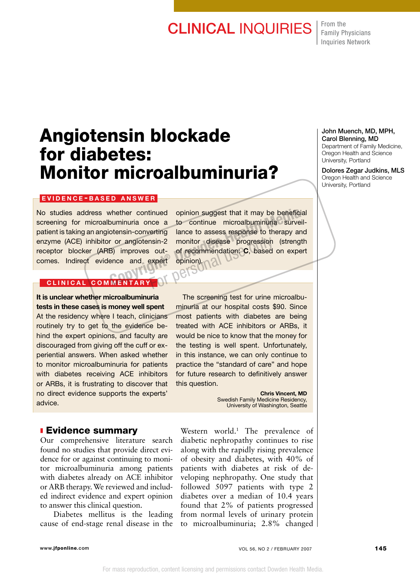## **CLINICAL INQUIRIES** From the

Family Physicians Inquiries Network

# Angiotensin blockade for diabetes: Monitor microalbuminuria?

#### EVIDENCE-BASED ANSWER

No studies address whether continued screening for microalbuminuria once a patient is taking an angiotensin-converting enzyme (ACE) inhibitor or angiotensin-2 receptor blocker (ARB) improves outcomes. Indirect evidence and expert

opinion suggest that it may be beneficial to continue microalbuminuria surveillance to assess response to therapy and monitor disease progression (strength of recommendation: C, based on expert opinion).<br><sub>N</sub>PN S whether continued opinion suggest that it may be beneficial<br>buminuria once a to continue microalbuminuria surveil-<br>otensin-converting lance to assess response to therapy and<br>r or angiotensin-2 monitor disease progression ( method and the progression<br>
out-<br>
of recommendation: C, based<br>
expert opinion).<br>
Of DCISON

### CLINICAL COMMENTARY

### It is unclear whether microalbuminuria tests in these cases is money well spent

At the residency where I teach, clinicians routinely try to get to the evidence behind the expert opinions, and faculty are discouraged from giving off the cuff or experiential answers. When asked whether to monitor microalbuminuria for patients with diabetes receiving ACE inhibitors or ARBs, it is frustrating to discover that no direct evidence supports the experts' advice.

The screening test for urine microalbuminuria at our hospital costs \$90. Since most patients with diabetes are being treated with ACE inhibitors or ARBs, it would be nice to know that the money for the testing is well spent. Unfortunately, in this instance, we can only continue to practice the "standard of care" and hope for future research to definitively answer this question.

> Chris Vincent, MD Swedish Family Medicine Residency, University of Washington, Seattle

#### **Evidence summary**

Our comprehensive literature search found no studies that provide direct evidence for or against continuing to monitor microalbuminuria among patients with diabetes already on ACE inhibitor or ARB therapy. We reviewed and included indirect evidence and expert opinion to answer this clinical question.

Diabetes mellitus is the leading cause of end-stage renal disease in the

Western world.<sup>1</sup> The prevalence of diabetic nephropathy continues to rise along with the rapidly rising prevalence of obesity and diabetes, with 40% of patients with diabetes at risk of developing nephropathy. One study that followed 5097 patients with type 2 diabetes over a median of 10.4 years found that 2% of patients progressed from normal levels of urinary protein to microalbuminuria; 2.8% changed

#### Carol Blenning, MD Department of Family Medicine, Oregon Health and Science

University, Portland

John Muench, MD, MPH,

Dolores Zegar Judkins, MLS Oregon Health and Science University, Portland